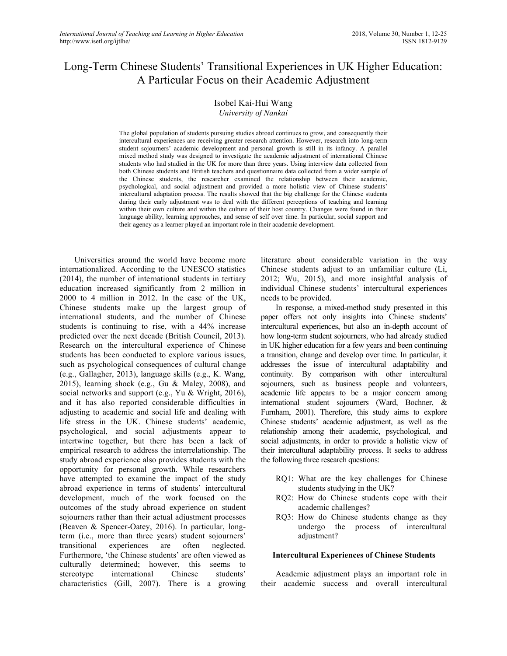# Long-Term Chinese Students' Transitional Experiences in UK Higher Education: A Particular Focus on their Academic Adjustment

## Isobel Kai-Hui Wang *University of Nankai*

The global population of students pursuing studies abroad continues to grow, and consequently their intercultural experiences are receiving greater research attention. However, research into long-term student sojourners' academic development and personal growth is still in its infancy. A parallel mixed method study was designed to investigate the academic adjustment of international Chinese students who had studied in the UK for more than three years. Using interview data collected from both Chinese students and British teachers and questionnaire data collected from a wider sample of the Chinese students, the researcher examined the relationship between their academic, psychological, and social adjustment and provided a more holistic view of Chinese students' intercultural adaptation process. The results showed that the big challenge for the Chinese students during their early adjustment was to deal with the different perceptions of teaching and learning within their own culture and within the culture of their host country. Changes were found in their language ability, learning approaches, and sense of self over time. In particular, social support and their agency as a learner played an important role in their academic development.

Universities around the world have become more internationalized. According to the UNESCO statistics (2014), the number of international students in tertiary education increased significantly from 2 million in 2000 to 4 million in 2012. In the case of the UK, Chinese students make up the largest group of international students, and the number of Chinese students is continuing to rise, with a 44% increase predicted over the next decade (British Council, 2013). Research on the intercultural experience of Chinese students has been conducted to explore various issues, such as psychological consequences of cultural change (e.g., Gallagher, 2013), language skills (e.g., K. Wang, 2015), learning shock (e.g., Gu & Maley, 2008), and social networks and support (e.g., Yu & Wright, 2016), and it has also reported considerable difficulties in adjusting to academic and social life and dealing with life stress in the UK. Chinese students' academic, psychological, and social adjustments appear to intertwine together, but there has been a lack of empirical research to address the interrelationship. The study abroad experience also provides students with the opportunity for personal growth. While researchers have attempted to examine the impact of the study abroad experience in terms of students' intercultural development, much of the work focused on the outcomes of the study abroad experience on student sojourners rather than their actual adjustment processes (Beaven & Spencer-Oatey, 2016). In particular, longterm (i.e., more than three years) student sojourners' transitional experiences are often neglected. Furthermore, 'the Chinese students' are often viewed as culturally determined; however, this seems to stereotype international Chinese students' characteristics (Gill, 2007). There is a growing

literature about considerable variation in the way Chinese students adjust to an unfamiliar culture (Li, 2012; Wu, 2015), and more insightful analysis of individual Chinese students' intercultural experiences needs to be provided.

In response, a mixed-method study presented in this paper offers not only insights into Chinese students' intercultural experiences, but also an in-depth account of how long-term student sojourners, who had already studied in UK higher education for a few years and been continuing a transition, change and develop over time. In particular, it addresses the issue of intercultural adaptability and continuity. By comparison with other intercultural sojourners, such as business people and volunteers, academic life appears to be a major concern among international student sojourners (Ward, Bochner, & Furnham, 2001). Therefore, this study aims to explore Chinese students' academic adjustment, as well as the relationship among their academic, psychological, and social adjustments, in order to provide a holistic view of their intercultural adaptability process. It seeks to address the following three research questions:

- RQ1: What are the key challenges for Chinese students studying in the UK?
- RQ2: How do Chinese students cope with their academic challenges?
- RQ3: How do Chinese students change as they undergo the process of intercultural adjustment?

#### **Intercultural Experiences of Chinese Students**

Academic adjustment plays an important role in their academic success and overall intercultural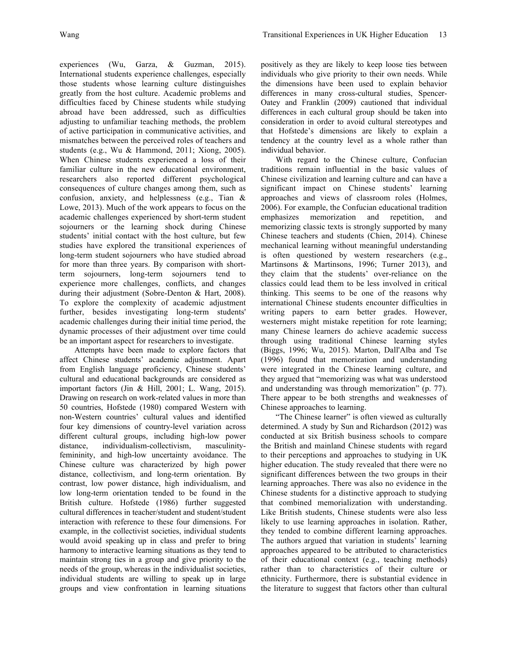experiences (Wu, Garza, & Guzman, 2015). International students experience challenges, especially those students whose learning culture distinguishes greatly from the host culture. Academic problems and difficulties faced by Chinese students while studying abroad have been addressed, such as difficulties adjusting to unfamiliar teaching methods, the problem of active participation in communicative activities, and mismatches between the perceived roles of teachers and students (e.g., Wu & Hammond, 2011; Xiong, 2005). When Chinese students experienced a loss of their familiar culture in the new educational environment, researchers also reported different psychological consequences of culture changes among them, such as confusion, anxiety, and helplessness (e.g., Tian & Lowe, 2013). Much of the work appears to focus on the academic challenges experienced by short-term student sojourners or the learning shock during Chinese students' initial contact with the host culture, but few studies have explored the transitional experiences of long-term student sojourners who have studied abroad for more than three years. By comparison with shortterm sojourners, long-term sojourners tend to experience more challenges, conflicts, and changes during their adjustment (Sobre-Denton & Hart, 2008). To explore the complexity of academic adjustment further, besides investigating long-term students' academic challenges during their initial time period, the dynamic processes of their adjustment over time could be an important aspect for researchers to investigate.

Attempts have been made to explore factors that affect Chinese students' academic adjustment. Apart from English language proficiency, Chinese students' cultural and educational backgrounds are considered as important factors (Jin & Hill, 2001; L. Wang, 2015). Drawing on research on work-related values in more than 50 countries, Hofstede (1980) compared Western with non-Western countries' cultural values and identified four key dimensions of country-level variation across different cultural groups, including high-low power distance, individualism-collectivism, masculinityfemininity, and high-low uncertainty avoidance. The Chinese culture was characterized by high power distance, collectivism, and long-term orientation. By contrast, low power distance, high individualism, and low long-term orientation tended to be found in the British culture. Hofstede (1986) further suggested cultural differences in teacher/student and student/student interaction with reference to these four dimensions. For example, in the collectivist societies, individual students would avoid speaking up in class and prefer to bring harmony to interactive learning situations as they tend to maintain strong ties in a group and give priority to the needs of the group, whereas in the individualist societies, individual students are willing to speak up in large groups and view confrontation in learning situations

positively as they are likely to keep loose ties between individuals who give priority to their own needs. While the dimensions have been used to explain behavior differences in many cross-cultural studies, Spencer-Oatey and Franklin (2009) cautioned that individual differences in each cultural group should be taken into consideration in order to avoid cultural stereotypes and that Hofstede's dimensions are likely to explain a tendency at the country level as a whole rather than individual behavior.

With regard to the Chinese culture, Confucian traditions remain influential in the basic values of Chinese civilization and learning culture and can have a significant impact on Chinese students' learning approaches and views of classroom roles (Holmes, 2006). For example, the Confucian educational tradition emphasizes memorization and repetition, and memorizing classic texts is strongly supported by many Chinese teachers and students (Chien, 2014). Chinese mechanical learning without meaningful understanding is often questioned by western researchers (e.g., Martinsons & Martinsons, 1996; Turner 2013), and they claim that the students' over-reliance on the classics could lead them to be less involved in critical thinking. This seems to be one of the reasons why international Chinese students encounter difficulties in writing papers to earn better grades. However, westerners might mistake repetition for rote learning; many Chinese learners do achieve academic success through using traditional Chinese learning styles (Biggs, 1996; Wu, 2015). Marton, Dall'Alba and Tse (1996) found that memorization and understanding were integrated in the Chinese learning culture, and they argued that "memorizing was what was understood and understanding was through memorization" (p. 77). There appear to be both strengths and weaknesses of Chinese approaches to learning.

"The Chinese learner" is often viewed as culturally determined. A study by Sun and Richardson (2012) was conducted at six British business schools to compare the British and mainland Chinese students with regard to their perceptions and approaches to studying in UK higher education. The study revealed that there were no significant differences between the two groups in their learning approaches. There was also no evidence in the Chinese students for a distinctive approach to studying that combined memorialization with understanding. Like British students, Chinese students were also less likely to use learning approaches in isolation. Rather, they tended to combine different learning approaches. The authors argued that variation in students' learning approaches appeared to be attributed to characteristics of their educational context (e.g., teaching methods) rather than to characteristics of their culture or ethnicity. Furthermore, there is substantial evidence in the literature to suggest that factors other than cultural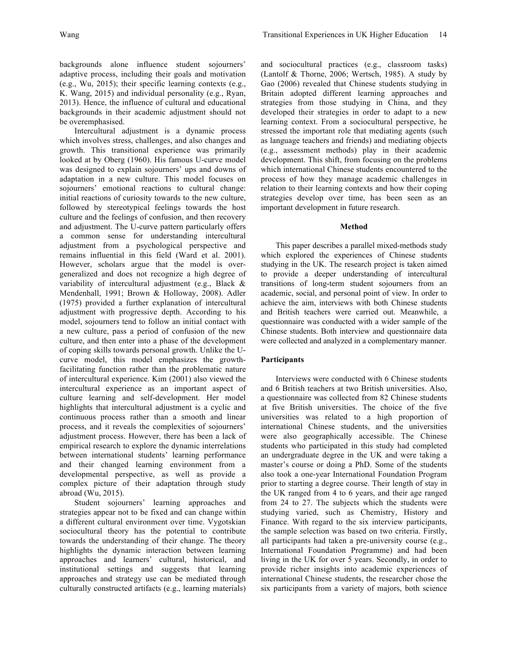backgrounds alone influence student sojourners' adaptive process, including their goals and motivation (e.g., Wu, 2015); their specific learning contexts (e.g., K. Wang, 2015) and individual personality (e.g., Ryan, 2013). Hence, the influence of cultural and educational backgrounds in their academic adjustment should not be overemphasised.

Intercultural adjustment is a dynamic process which involves stress, challenges, and also changes and growth. This transitional experience was primarily looked at by Oberg (1960). His famous U-curve model was designed to explain sojourners' ups and downs of adaptation in a new culture. This model focuses on sojourners' emotional reactions to cultural change: initial reactions of curiosity towards to the new culture, followed by stereotypical feelings towards the host culture and the feelings of confusion, and then recovery and adjustment. The U-curve pattern particularly offers a common sense for understanding intercultural adjustment from a psychological perspective and remains influential in this field (Ward et al. 2001). However, scholars argue that the model is overgeneralized and does not recognize a high degree of variability of intercultural adjustment (e.g., Black & Mendenhall, 1991; Brown & Holloway, 2008). Adler (1975) provided a further explanation of intercultural adjustment with progressive depth. According to his model, sojourners tend to follow an initial contact with a new culture, pass a period of confusion of the new culture, and then enter into a phase of the development of coping skills towards personal growth. Unlike the Ucurve model, this model emphasizes the growthfacilitating function rather than the problematic nature of intercultural experience. Kim (2001) also viewed the intercultural experience as an important aspect of culture learning and self-development. Her model highlights that intercultural adjustment is a cyclic and continuous process rather than a smooth and linear process, and it reveals the complexities of sojourners' adjustment process. However, there has been a lack of empirical research to explore the dynamic interrelations between international students' learning performance and their changed learning environment from a developmental perspective, as well as provide a complex picture of their adaptation through study abroad (Wu, 2015).

Student sojourners' learning approaches and strategies appear not to be fixed and can change within a different cultural environment over time. Vygotskian sociocultural theory has the potential to contribute towards the understanding of their change. The theory highlights the dynamic interaction between learning approaches and learners' cultural, historical, and institutional settings and suggests that learning approaches and strategy use can be mediated through culturally constructed artifacts (e.g., learning materials) and sociocultural practices (e.g., classroom tasks) (Lantolf & Thorne, 2006; Wertsch, 1985). A study by Gao (2006) revealed that Chinese students studying in Britain adopted different learning approaches and strategies from those studying in China, and they developed their strategies in order to adapt to a new learning context. From a sociocultural perspective, he stressed the important role that mediating agents (such as language teachers and friends) and mediating objects (e.g., assessment methods) play in their academic development. This shift, from focusing on the problems which international Chinese students encountered to the process of how they manage academic challenges in relation to their learning contexts and how their coping strategies develop over time, has been seen as an important development in future research.

## **Method**

This paper describes a parallel mixed-methods study which explored the experiences of Chinese students studying in the UK. The research project is taken aimed to provide a deeper understanding of intercultural transitions of long-term student sojourners from an academic, social, and personal point of view. In order to achieve the aim, interviews with both Chinese students and British teachers were carried out. Meanwhile, a questionnaire was conducted with a wider sample of the Chinese students. Both interview and questionnaire data were collected and analyzed in a complementary manner.

## **Participants**

Interviews were conducted with 6 Chinese students and 6 British teachers at two British universities. Also, a questionnaire was collected from 82 Chinese students at five British universities. The choice of the five universities was related to a high proportion of international Chinese students, and the universities were also geographically accessible. The Chinese students who participated in this study had completed an undergraduate degree in the UK and were taking a master's course or doing a PhD. Some of the students also took a one-year International Foundation Program prior to starting a degree course. Their length of stay in the UK ranged from 4 to 6 years, and their age ranged from 24 to 27. The subjects which the students were studying varied, such as Chemistry, History and Finance. With regard to the six interview participants, the sample selection was based on two criteria. Firstly, all participants had taken a pre-university course (e.g., International Foundation Programme) and had been living in the UK for over 5 years. Secondly, in order to provide richer insights into academic experiences of international Chinese students, the researcher chose the six participants from a variety of majors, both science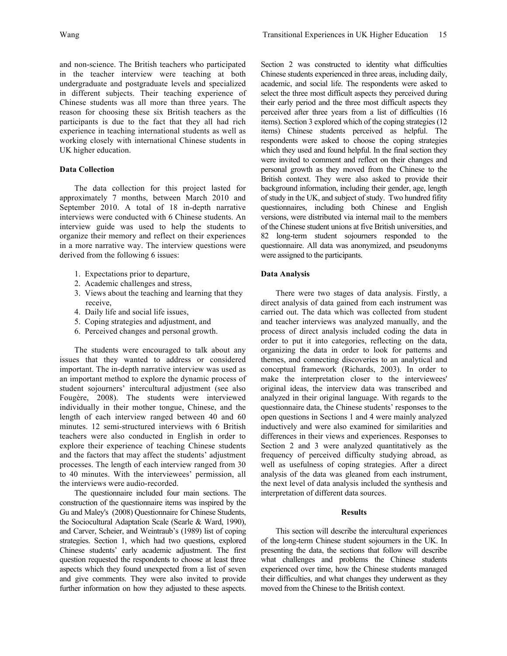and non-science. The British teachers who participated in the teacher interview were teaching at both undergraduate and postgraduate levels and specialized in different subjects. Their teaching experience of Chinese students was all more than three years. The reason for choosing these six British teachers as the participants is due to the fact that they all had rich experience in teaching international students as well as working closely with international Chinese students in UK higher education.

## **Data Collection**

The data collection for this project lasted for approximately 7 months, between March 2010 and September 2010. A total of 18 in-depth narrative interviews were conducted with 6 Chinese students. An interview guide was used to help the students to organize their memory and reflect on their experiences in a more narrative way. The interview questions were derived from the following 6 issues:

- 1. Expectations prior to departure,
- 2. Academic challenges and stress,
- 3. Views about the teaching and learning that they receive,
- 4. Daily life and social life issues,
- 5. Coping strategies and adjustment, and
- 6. Perceived changes and personal growth.

The students were encouraged to talk about any issues that they wanted to address or considered important. The in-depth narrative interview was used as an important method to explore the dynamic process of student sojourners' intercultural adjustment (see also Fougère, 2008). The students were interviewed individually in their mother tongue, Chinese, and the length of each interview ranged between 40 and 60 minutes. 12 semi-structured interviews with 6 British teachers were also conducted in English in order to explore their experience of teaching Chinese students and the factors that may affect the students' adjustment processes. The length of each interview ranged from 30 to 40 minutes. With the interviewees' permission, all the interviews were audio-recorded.

The questionnaire included four main sections. The construction of the questionnaire items was inspired by the Gu and Maley's (2008) Questionnaire for Chinese Students, the Sociocultural Adaptation Scale (Searle & Ward, 1990), and Carver, Scheier, and Weintraub's (1989) list of coping strategies. Section 1, which had two questions, explored Chinese students' early academic adjustment. The first question requested the respondents to choose at least three aspects which they found unexpected from a list of seven and give comments. They were also invited to provide further information on how they adjusted to these aspects.

Section 2 was constructed to identity what difficulties Chinese students experienced in three areas, including daily, academic, and social life. The respondents were asked to select the three most difficult aspects they perceived during their early period and the three most difficult aspects they perceived after three years from a list of difficulties (16 items). Section 3 explored which of the coping strategies (12 items) Chinese students perceived as helpful. The respondents were asked to choose the coping strategies which they used and found helpful. In the final section they were invited to comment and reflect on their changes and personal growth as they moved from the Chinese to the British context. They were also asked to provide their background information, including their gender, age, length of study in the UK, and subject of study. Two hundred fifity questionnaires, including both Chinese and English versions, were distributed via internal mail to the members of the Chinese student unions at five British universities, and 82 long-term student sojourners responded to the questionnaire. All data was anonymized, and pseudonyms were assigned to the participants.

#### **Data Analysis**

There were two stages of data analysis. Firstly, a direct analysis of data gained from each instrument was carried out. The data which was collected from student and teacher interviews was analyzed manually, and the process of direct analysis included coding the data in order to put it into categories, reflecting on the data, organizing the data in order to look for patterns and themes, and connecting discoveries to an analytical and conceptual framework (Richards, 2003). In order to make the interpretation closer to the interviewees' original ideas, the interview data was transcribed and analyzed in their original language. With regards to the questionnaire data, the Chinese students' responses to the open questions in Sections 1 and 4 were mainly analyzed inductively and were also examined for similarities and differences in their views and experiences. Responses to Section 2 and 3 were analyzed quantitatively as the frequency of perceived difficulty studying abroad, as well as usefulness of coping strategies. After a direct analysis of the data was gleaned from each instrument, the next level of data analysis included the synthesis and interpretation of different data sources.

#### **Results**

This section will describe the intercultural experiences of the long-term Chinese student sojourners in the UK. In presenting the data, the sections that follow will describe what challenges and problems the Chinese students experienced over time, how the Chinese students managed their difficulties, and what changes they underwent as they moved from the Chinese to the British context.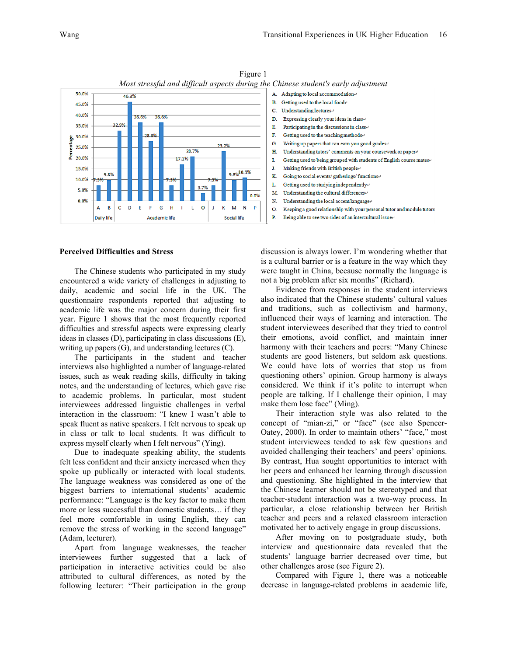

Figure 1 *Most stressful and difficult aspects during the Chinese student's early adjustment*

#### **Perceived Difficulties and Stress**

The Chinese students who participated in my study encountered a wide variety of challenges in adjusting to daily, academic and social life in the UK. The questionnaire respondents reported that adjusting to academic life was the major concern during their first year. Figure 1 shows that the most frequently reported difficulties and stressful aspects were expressing clearly ideas in classes (D), participating in class discussions (E), writing up papers (G), and understanding lectures (C).

The participants in the student and teacher interviews also highlighted a number of language-related issues, such as weak reading skills, difficulty in taking notes, and the understanding of lectures, which gave rise to academic problems. In particular, most student interviewees addressed linguistic challenges in verbal interaction in the classroom: "I knew I wasn't able to speak fluent as native speakers. I felt nervous to speak up in class or talk to local students. It was difficult to express myself clearly when I felt nervous" (Ying).

Due to inadequate speaking ability, the students felt less confident and their anxiety increased when they spoke up publically or interacted with local students. The language weakness was considered as one of the biggest barriers to international students' academic performance: "Language is the key factor to make them more or less successful than domestic students… if they feel more comfortable in using English, they can remove the stress of working in the second language" (Adam, lecturer).

Apart from language weaknesses, the teacher interviewees further suggested that a lack of participation in interactive activities could be also attributed to cultural differences, as noted by the following lecturer: "Their participation in the group



discussion is always lower. I'm wondering whether that is a cultural barrier or is a feature in the way which they were taught in China, because normally the language is not a big problem after six months" (Richard).

Evidence from responses in the student interviews also indicated that the Chinese students' cultural values and traditions, such as collectivism and harmony, influenced their ways of learning and interaction. The student interviewees described that they tried to control their emotions, avoid conflict, and maintain inner harmony with their teachers and peers: "Many Chinese students are good listeners, but seldom ask questions. We could have lots of worries that stop us from questioning others' opinion. Group harmony is always considered. We think if it's polite to interrupt when people are talking. If I challenge their opinion, I may make them lose face" (Ming).

Their interaction style was also related to the concept of "mian-zi," or "face" (see also Spencer-Oatey, 2000). In order to maintain others' "face," most student interviewees tended to ask few questions and avoided challenging their teachers' and peers' opinions. By contrast, Hua sought opportunities to interact with her peers and enhanced her learning through discussion and questioning. She highlighted in the interview that the Chinese learner should not be stereotyped and that teacher-student interaction was a two-way process. In particular, a close relationship between her British teacher and peers and a relaxed classroom interaction motivated her to actively engage in group discussions.

After moving on to postgraduate study, both interview and questionnaire data revealed that the students' language barrier decreased over time, but other challenges arose (see Figure 2).

Compared with Figure 1, there was a noticeable decrease in language-related problems in academic life,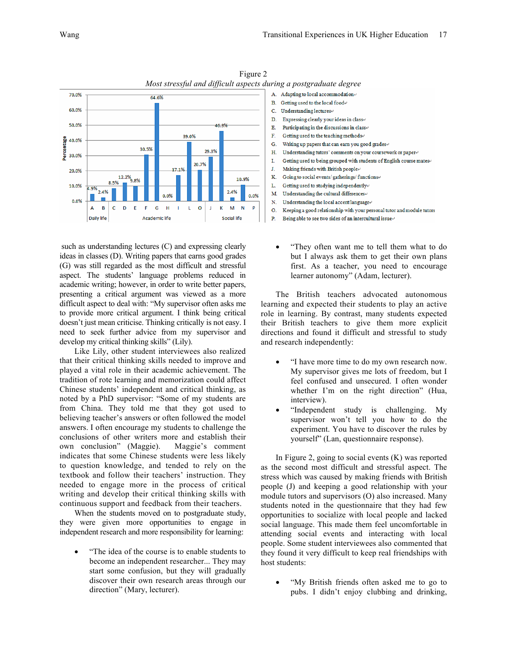

Figure 2 *Most stressful and difficult aspects during a postgraduate degree*

such as understanding lectures (C) and expressing clearly ideas in classes (D). Writing papers that earns good grades (G) was still regarded as the most difficult and stressful aspect. The students' language problems reduced in academic writing; however, in order to write better papers, presenting a critical argument was viewed as a more difficult aspect to deal with: "My supervisor often asks me to provide more critical argument. I think being critical doesn't just mean criticise. Thinking critically is not easy. I need to seek further advice from my supervisor and develop my critical thinking skills" (Lily).

Like Lily, other student interviewees also realized that their critical thinking skills needed to improve and played a vital role in their academic achievement. The tradition of rote learning and memorization could affect Chinese students' independent and critical thinking, as noted by a PhD supervisor: "Some of my students are from China. They told me that they got used to believing teacher's answers or often followed the model answers. I often encourage my students to challenge the conclusions of other writers more and establish their own conclusion" (Maggie). Maggie's comment indicates that some Chinese students were less likely to question knowledge, and tended to rely on the textbook and follow their teachers' instruction. They needed to engage more in the process of critical writing and develop their critical thinking skills with continuous support and feedback from their teachers.

When the students moved on to postgraduate study, they were given more opportunities to engage in independent research and more responsibility for learning:

• "The idea of the course is to enable students to become an independent researcher... They may start some confusion, but they will gradually discover their own research areas through our direction" (Mary, lecturer).

- A. Adapting to local accommodation+ B. Getting used to the local food+ C. Understanding lectures+ D. Expressing clearly your ideas in class<br> $\leftrightarrow$ Ē. Participating in the discussions in classe F. Getting used to the teaching methods. G. Writing up papers that can earn you good grades+ H. Understanding tutors' comments on your coursework or paper+ L Getting used to being grouped with students of English course mates  $\cdot$ Making friends with British peoplee J. K. Going to social events/ gatherings/ functions<br> $\cdot$ L. Getting used to studying independently<br>  $\!varepsilon$ M. Understanding the cultural differences  $\cdot$ Understanding the local accent/language  $\! \cdot \!$ N. O. Keeping a good relationship with your personal tutor and module tutors P. Being able to see two sides of an intercultural issue<br> $\cdot$ 
	- "They often want me to tell them what to do but I always ask them to get their own plans first. As a teacher, you need to encourage learner autonomy" (Adam, lecturer).

The British teachers advocated autonomous learning and expected their students to play an active role in learning. By contrast, many students expected their British teachers to give them more explicit directions and found it difficult and stressful to study and research independently:

- "I have more time to do my own research now. My supervisor gives me lots of freedom, but I feel confused and unsecured. I often wonder whether I'm on the right direction" (Hua, interview).
- "Independent study is challenging. My supervisor won't tell you how to do the experiment. You have to discover the rules by yourself" (Lan, questionnaire response).

In Figure 2, going to social events (K) was reported as the second most difficult and stressful aspect. The stress which was caused by making friends with British people (J) and keeping a good relationship with your module tutors and supervisors (O) also increased. Many students noted in the questionnaire that they had few opportunities to socialize with local people and lacked social language. This made them feel uncomfortable in attending social events and interacting with local people. Some student interviewees also commented that they found it very difficult to keep real friendships with host students:

• "My British friends often asked me to go to pubs. I didn't enjoy clubbing and drinking,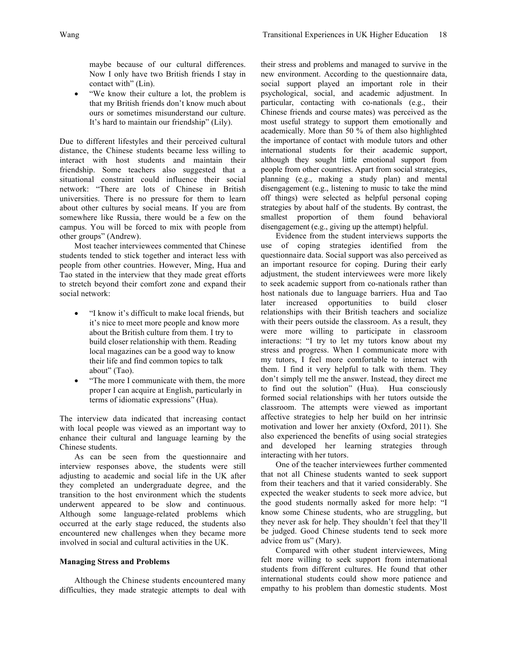maybe because of our cultural differences. Now I only have two British friends I stay in contact with" (Lin).

• "We know their culture a lot, the problem is that my British friends don't know much about ours or sometimes misunderstand our culture. It's hard to maintain our friendship" (Lily).

Due to different lifestyles and their perceived cultural distance, the Chinese students became less willing to interact with host students and maintain their friendship. Some teachers also suggested that a situational constraint could influence their social network: "There are lots of Chinese in British universities. There is no pressure for them to learn about other cultures by social means. If you are from somewhere like Russia, there would be a few on the campus. You will be forced to mix with people from other groups" (Andrew).

Most teacher interviewees commented that Chinese students tended to stick together and interact less with people from other countries. However, Ming, Hua and Tao stated in the interview that they made great efforts to stretch beyond their comfort zone and expand their social network:

- "I know it's difficult to make local friends, but it's nice to meet more people and know more about the British culture from them. I try to build closer relationship with them. Reading local magazines can be a good way to know their life and find common topics to talk about" (Tao).
- "The more I communicate with them, the more" proper I can acquire at English, particularly in terms of idiomatic expressions" (Hua).

The interview data indicated that increasing contact with local people was viewed as an important way to enhance their cultural and language learning by the Chinese students.

As can be seen from the questionnaire and interview responses above, the students were still adjusting to academic and social life in the UK after they completed an undergraduate degree, and the transition to the host environment which the students underwent appeared to be slow and continuous. Although some language-related problems which occurred at the early stage reduced, the students also encountered new challenges when they became more involved in social and cultural activities in the UK.

#### **Managing Stress and Problems**

Although the Chinese students encountered many difficulties, they made strategic attempts to deal with their stress and problems and managed to survive in the new environment. According to the questionnaire data, social support played an important role in their psychological, social, and academic adjustment. In particular, contacting with co-nationals (e.g., their Chinese friends and course mates) was perceived as the most useful strategy to support them emotionally and academically. More than 50 % of them also highlighted the importance of contact with module tutors and other international students for their academic support, although they sought little emotional support from people from other countries. Apart from social strategies, planning (e.g., making a study plan) and mental disengagement (e.g., listening to music to take the mind off things) were selected as helpful personal coping strategies by about half of the students. By contrast, the smallest proportion of them found behavioral disengagement (e.g., giving up the attempt) helpful.

Evidence from the student interviews supports the use of coping strategies identified from the questionnaire data. Social support was also perceived as an important resource for coping. During their early adjustment, the student interviewees were more likely to seek academic support from co-nationals rather than host nationals due to language barriers. Hua and Tao later increased opportunities to build closer relationships with their British teachers and socialize with their peers outside the classroom. As a result, they were more willing to participate in classroom interactions: "I try to let my tutors know about my stress and progress. When I communicate more with my tutors, I feel more comfortable to interact with them. I find it very helpful to talk with them. They don't simply tell me the answer. Instead, they direct me to find out the solution" (Hua). Hua consciously formed social relationships with her tutors outside the classroom. The attempts were viewed as important affective strategies to help her build on her intrinsic motivation and lower her anxiety (Oxford, 2011). She also experienced the benefits of using social strategies and developed her learning strategies through interacting with her tutors.

One of the teacher interviewees further commented that not all Chinese students wanted to seek support from their teachers and that it varied considerably. She expected the weaker students to seek more advice, but the good students normally asked for more help: "I know some Chinese students, who are struggling, but they never ask for help. They shouldn't feel that they'll be judged. Good Chinese students tend to seek more advice from us" (Mary).

Compared with other student interviewees, Ming felt more willing to seek support from international students from different cultures. He found that other international students could show more patience and empathy to his problem than domestic students. Most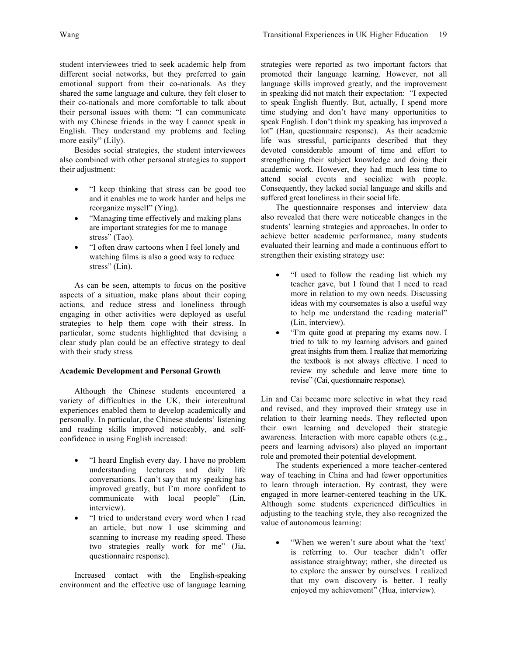student interviewees tried to seek academic help from different social networks, but they preferred to gain emotional support from their co-nationals. As they shared the same language and culture, they felt closer to their co-nationals and more comfortable to talk about their personal issues with them: "I can communicate with my Chinese friends in the way I cannot speak in English. They understand my problems and feeling more easily" (Lily).

Besides social strategies, the student interviewees also combined with other personal strategies to support their adjustment:

- "I keep thinking that stress can be good too and it enables me to work harder and helps me reorganize myself" (Ying).
- "Managing time effectively and making plans are important strategies for me to manage stress" (Tao).
- "I often draw cartoons when I feel lonely and watching films is also a good way to reduce stress" (Lin).

As can be seen, attempts to focus on the positive aspects of a situation, make plans about their coping actions, and reduce stress and loneliness through engaging in other activities were deployed as useful strategies to help them cope with their stress. In particular, some students highlighted that devising a clear study plan could be an effective strategy to deal with their study stress.

## **Academic Development and Personal Growth**

Although the Chinese students encountered a variety of difficulties in the UK, their intercultural experiences enabled them to develop academically and personally. In particular, the Chinese students' listening and reading skills improved noticeably, and selfconfidence in using English increased:

- "I heard English every day. I have no problem understanding lecturers and daily life conversations. I can't say that my speaking has improved greatly, but I'm more confident to communicate with local people" (Lin, interview).
- "I tried to understand every word when I read an article, but now I use skimming and scanning to increase my reading speed. These two strategies really work for me" (Jia, questionnaire response).

Increased contact with the English-speaking environment and the effective use of language learning strategies were reported as two important factors that promoted their language learning. However, not all language skills improved greatly, and the improvement in speaking did not match their expectation: "I expected to speak English fluently. But, actually, I spend more time studying and don't have many opportunities to speak English. I don't think my speaking has improved a lot" (Han, questionnaire response). As their academic life was stressful, participants described that they devoted considerable amount of time and effort to strengthening their subject knowledge and doing their academic work. However, they had much less time to attend social events and socialize with people. Consequently, they lacked social language and skills and suffered great loneliness in their social life.

The questionnaire responses and interview data also revealed that there were noticeable changes in the students' learning strategies and approaches. In order to achieve better academic performance, many students evaluated their learning and made a continuous effort to strengthen their existing strategy use:

- "I used to follow the reading list which my teacher gave, but I found that I need to read more in relation to my own needs. Discussing ideas with my coursemates is also a useful way to help me understand the reading material" (Lin, interview).
- "I'm quite good at preparing my exams now. I tried to talk to my learning advisors and gained great insights from them. I realize that memorizing the textbook is not always effective. I need to review my schedule and leave more time to revise" (Cai, questionnaire response).

Lin and Cai became more selective in what they read and revised, and they improved their strategy use in relation to their learning needs. They reflected upon their own learning and developed their strategic awareness. Interaction with more capable others (e.g., peers and learning advisors) also played an important role and promoted their potential development.

The students experienced a more teacher-centered way of teaching in China and had fewer opportunities to learn through interaction. By contrast, they were engaged in more learner-centered teaching in the UK. Although some students experienced difficulties in adjusting to the teaching style, they also recognized the value of autonomous learning:

• "When we weren't sure about what the 'text' is referring to. Our teacher didn't offer assistance straightway; rather, she directed us to explore the answer by ourselves. I realized that my own discovery is better. I really enjoyed my achievement" (Hua, interview).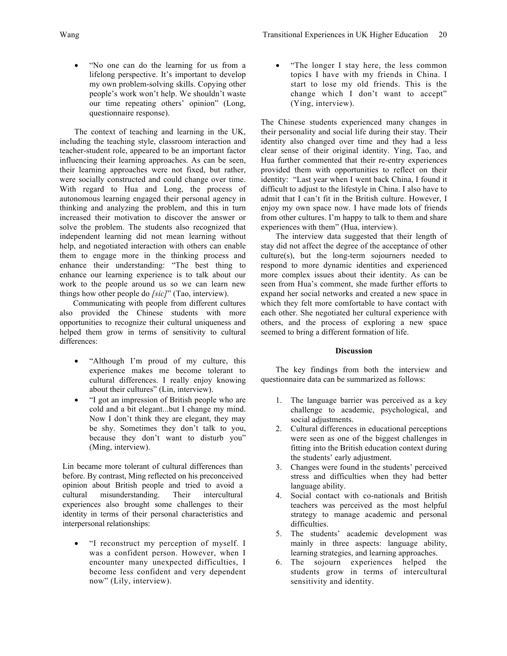- - "No one can do the learning for us from a lifelong perspective. It's important to develop my own problem-solving skills. Copying other people's work won't help. We shouldn't waste our time repeating others' opinion" (Long, questionnaire response).

The context of teaching and learning in the UK, including the teaching style, classroom interaction and teacher-student role, appeared to be an important factor influencing their learning approaches. As can be seen, their learning approaches were not fixed, but rather, were socially constructed and could change over time. With regard to Hua and Long, the process of autonomous learning engaged their personal agency in thinking and analyzing the problem, and this in turn increased their motivation to discover the answer or solve the problem. The students also recognized that independent learning did not mean learning without help, and negotiated interaction with others can enable them to engage more in the thinking process and enhance their understanding: "The best thing to enhance our learning experience is to talk about our work to the people around us so we can learn new things how other people do *[sic]*" (Tao, interview).

Communicating with people from different cultures also provided the Chinese students with more opportunities to recognize their cultural uniqueness and helped them grow in terms of sensitivity to cultural differences:

- "Although I'm proud of my culture, this experience makes me become tolerant to cultural differences. I really enjoy knowing about their cultures" (Lin, interview).
- "I got an impression of British people who are cold and a bit elegant...but I change my mind. Now I don't think they are elegant, they may be shy. Sometimes they don't talk to you, because they don't want to disturb you" (Ming, interview).

Lin became more tolerant of cultural differences than before. By contrast, Ming reflected on his preconceived opinion about British people and tried to avoid a cultural misunderstanding. Their intercultural experiences also brought some challenges to their identity in terms of their personal characteristics and interpersonal relationships:

• "I reconstruct my perception of myself. I was a confident person. However, when I encounter many unexpected difficulties, I become less confident and very dependent now" (Lily, interview).

"The longer I stay here, the less common topics I have with my friends in China. I start to lose my old friends. This is the change which I don't want to accept" (Ying, interview).

The Chinese students experienced many changes in their personality and social life during their stay. Their identity also changed over time and they had a less clear sense of their original identity. Ying, Tao, and Hua further commented that their re-entry experiences provided them with opportunities to reflect on their identity: "Last year when I went back China, I found it difficult to adjust to the lifestyle in China. I also have to admit that I can't fit in the British culture. However, I enjoy my own space now. I have made lots of friends from other cultures. I'm happy to talk to them and share experiences with them" (Hua, interview).

The interview data suggested that their length of stay did not affect the degree of the acceptance of other culture(s), but the long-term sojourners needed to respond to more dynamic identities and experienced more complex issues about their identity. As can be seen from Hua's comment, she made further efforts to expand her social networks and created a new space in which they felt more comfortable to have contact with each other. She negotiated her cultural experience with others, and the process of exploring a new space seemed to bring a different formation of life.

## **Discussion**

The key findings from both the interview and questionnaire data can be summarized as follows:

- 1. The language barrier was perceived as a key challenge to academic, psychological, and social adjustments.
- 2. Cultural differences in educational perceptions were seen as one of the biggest challenges in fitting into the British education context during the students' early adjustment.
- 3. Changes were found in the students' perceived stress and difficulties when they had better language ability.
- 4. Social contact with co-nationals and British teachers was perceived as the most helpful strategy to manage academic and personal difficulties.
- 5. The students' academic development was mainly in three aspects: language ability, learning strategies, and learning approaches.
- 6. The sojourn experiences helped the students grow in terms of intercultural sensitivity and identity.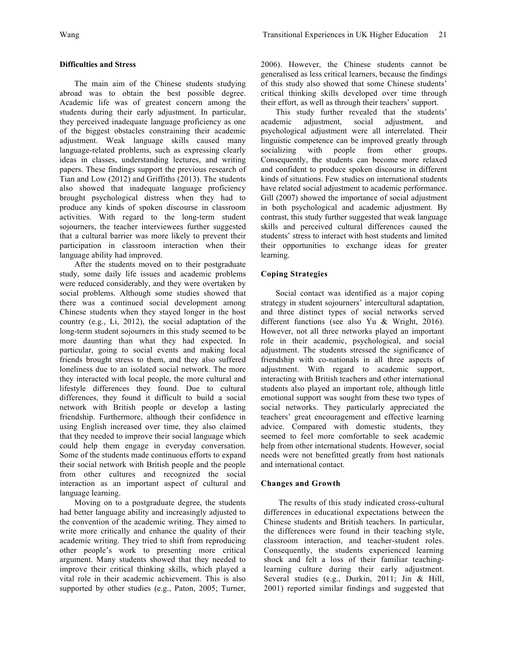## **Difficulties and Stress**

The main aim of the Chinese students studying abroad was to obtain the best possible degree. Academic life was of greatest concern among the students during their early adjustment. In particular, they perceived inadequate language proficiency as one of the biggest obstacles constraining their academic adjustment. Weak language skills caused many language-related problems, such as expressing clearly ideas in classes, understanding lectures, and writing papers. These findings support the previous research of Tian and Low (2012) and Griffiths (2013). The students also showed that inadequate language proficiency brought psychological distress when they had to produce any kinds of spoken discourse in classroom activities. With regard to the long-term student sojourners, the teacher interviewees further suggested that a cultural barrier was more likely to prevent their participation in classroom interaction when their language ability had improved.

After the students moved on to their postgraduate study, some daily life issues and academic problems were reduced considerably, and they were overtaken by social problems. Although some studies showed that there was a continued social development among Chinese students when they stayed longer in the host country (e.g., Li, 2012), the social adaptation of the long-term student sojourners in this study seemed to be more daunting than what they had expected. In particular, going to social events and making local friends brought stress to them, and they also suffered loneliness due to an isolated social network. The more they interacted with local people, the more cultural and lifestyle differences they found. Due to cultural differences, they found it difficult to build a social network with British people or develop a lasting friendship. Furthermore, although their confidence in using English increased over time, they also claimed that they needed to improve their social language which could help them engage in everyday conversation. Some of the students made continuous efforts to expand their social network with British people and the people from other cultures and recognized the social interaction as an important aspect of cultural and language learning.

Moving on to a postgraduate degree, the students had better language ability and increasingly adjusted to the convention of the academic writing. They aimed to write more critically and enhance the quality of their academic writing. They tried to shift from reproducing other people's work to presenting more critical argument. Many students showed that they needed to improve their critical thinking skills, which played a vital role in their academic achievement. This is also supported by other studies (e.g., Paton, 2005; Turner, 2006). However, the Chinese students cannot be generalised as less critical learners, because the findings of this study also showed that some Chinese students' critical thinking skills developed over time through their effort, as well as through their teachers' support.

This study further revealed that the students' academic adjustment, social adjustment, and psychological adjustment were all interrelated. Their linguistic competence can be improved greatly through socializing with people from other groups. Consequently, the students can become more relaxed and confident to produce spoken discourse in different kinds of situations. Few studies on international students have related social adjustment to academic performance. Gill (2007) showed the importance of social adjustment in both psychological and academic adjustment. By contrast, this study further suggested that weak language skills and perceived cultural differences caused the students' stress to interact with host students and limited their opportunities to exchange ideas for greater learning.

# **Coping Strategies**

Social contact was identified as a major coping strategy in student sojourners' intercultural adaptation, and three distinct types of social networks served different functions (see also Yu & Wright, 2016). However, not all three networks played an important role in their academic, psychological, and social adjustment. The students stressed the significance of friendship with co-nationals in all three aspects of adjustment. With regard to academic support, interacting with British teachers and other international students also played an important role, although little emotional support was sought from these two types of social networks. They particularly appreciated the teachers' great encouragement and effective learning advice. Compared with domestic students, they seemed to feel more comfortable to seek academic help from other international students. However, social needs were not benefitted greatly from host nationals and international contact.

## **Changes and Growth**

The results of this study indicated cross-cultural differences in educational expectations between the Chinese students and British teachers. In particular, the differences were found in their teaching style, classroom interaction, and teacher-student roles. Consequently, the students experienced learning shock and felt a loss of their familiar teachinglearning culture during their early adjustment. Several studies (e.g., Durkin, 2011; Jin & Hill, 2001) reported similar findings and suggested that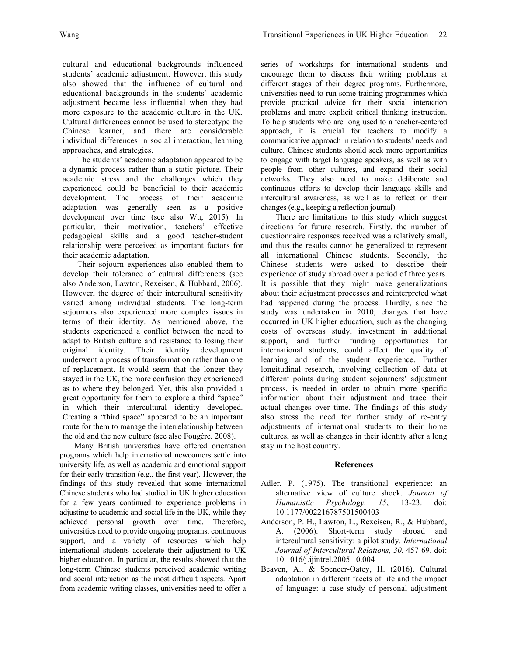cultural and educational backgrounds influenced students' academic adjustment. However, this study also showed that the influence of cultural and educational backgrounds in the students' academic adjustment became less influential when they had more exposure to the academic culture in the UK. Cultural differences cannot be used to stereotype the Chinese learner, and there are considerable individual differences in social interaction, learning approaches, and strategies.

The students' academic adaptation appeared to be a dynamic process rather than a static picture. Their academic stress and the challenges which they experienced could be beneficial to their academic development. The process of their academic adaptation was generally seen as a positive development over time (see also Wu, 2015). In particular, their motivation, teachers' effective pedagogical skills and a good teacher-student relationship were perceived as important factors for their academic adaptation.

Their sojourn experiences also enabled them to develop their tolerance of cultural differences (see also Anderson, Lawton, Rexeisen, & Hubbard, 2006). However, the degree of their intercultural sensitivity varied among individual students. The long-term sojourners also experienced more complex issues in terms of their identity. As mentioned above, the students experienced a conflict between the need to adapt to British culture and resistance to losing their original identity. Their identity development underwent a process of transformation rather than one of replacement. It would seem that the longer they stayed in the UK, the more confusion they experienced as to where they belonged. Yet, this also provided a great opportunity for them to explore a third "space" in which their intercultural identity developed. Creating a "third space" appeared to be an important route for them to manage the interrelationship between the old and the new culture (see also Fougère, 2008).

Many British universities have offered orientation programs which help international newcomers settle into university life, as well as academic and emotional support for their early transition (e.g., the first year). However, the findings of this study revealed that some international Chinese students who had studied in UK higher education for a few years continued to experience problems in adjusting to academic and social life in the UK, while they achieved personal growth over time. Therefore, universities need to provide ongoing programs, continuous support, and a variety of resources which help international students accelerate their adjustment to UK higher education. In particular, the results showed that the long-term Chinese students perceived academic writing and social interaction as the most difficult aspects. Apart from academic writing classes, universities need to offer a

series of workshops for international students and encourage them to discuss their writing problems at different stages of their degree programs. Furthermore, universities need to run some training programmes which provide practical advice for their social interaction problems and more explicit critical thinking instruction. To help students who are long used to a teacher-centered approach, it is crucial for teachers to modify a communicative approach in relation to students' needs and culture. Chinese students should seek more opportunities to engage with target language speakers, as well as with people from other cultures, and expand their social networks. They also need to make deliberate and continuous efforts to develop their language skills and intercultural awareness, as well as to reflect on their changes (e.g., keeping a reflection journal).

There are limitations to this study which suggest directions for future research. Firstly, the number of questionnaire responses received was a relatively small, and thus the results cannot be generalized to represent all international Chinese students. Secondly, the Chinese students were asked to describe their experience of study abroad over a period of three years. It is possible that they might make generalizations about their adjustment processes and reinterpreted what had happened during the process. Thirdly, since the study was undertaken in 2010, changes that have occurred in UK higher education, such as the changing costs of overseas study, investment in additional support, and further funding opportunities for international students, could affect the quality of learning and of the student experience. Further longitudinal research, involving collection of data at different points during student sojourners' adjustment process, is needed in order to obtain more specific information about their adjustment and trace their actual changes over time. The findings of this study also stress the need for further study of re-entry adjustments of international students to their home cultures, as well as changes in their identity after a long stay in the host country.

## **References**

- Adler, P. (1975). The transitional experience: an alternative view of culture shock. *Journal of Humanistic Psychology, 15*, 13-23. doi: 10.1177/002216787501500403
- Anderson, P. H., Lawton, L., Rexeisen, R., & Hubbard, A. (2006). Short-term study abroad and intercultural sensitivity: a pilot study. *International Journal of Intercultural Relations, 30*, 457-69. doi: 10.1016/j.ijintrel.2005.10.004
- Beaven, A., & Spencer-Oatey, H. (2016). Cultural adaptation in different facets of life and the impact of language: a case study of personal adjustment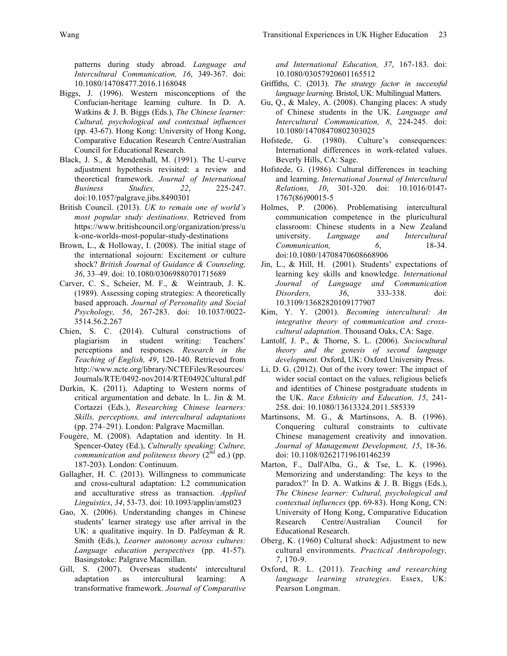patterns during study abroad. *Language and Intercultural Communication, 16*, 349-367. doi: 10.1080/14708477.2016.1168048

- Biggs, J. (1996). Western misconceptions of the Confucian-heritage learning culture. In D. A. Watkins & J. B. Biggs (Eds.), *The Chinese learner: Cultural, psychological and contextual influences* (pp. 43-67). Hong Kong: University of Hong Kong, Comparative Education Research Centre/Australian Council for Educational Research.
- Black, J. S., & Mendenhall, M. (1991). The U-curve adjustment hypothesis revisited: a review and theoretical framework. *Journal of International Business Studies, 22*, 225-247. doi:10.1057/palgrave.jibs.8490301
- British Council. (2013). *UK to remain one of world's most popular study destinations*. Retrieved from https://www.britishcouncil.org/organization/press/u k-one-worlds-most-popular-study-destinations
- Brown, L., & Holloway, I. (2008). The initial stage of the international sojourn: Excitement or culture shock? *British Journal of Guidance & Counseling, 36*, 33–49. doi: 10.1080/03069880701715689
- Carver, C. S., Scheier, M. F., & Weintraub, J. K. (1989). Assessing coping strategies: A theoretically based approach. *Journal of Personality and Social Psychology, 56*, 267-283. doi: 10.1037/0022- 3514.56.2.267
- Chien, S. C. (2014). Cultural constructions of plagiarism in student writing: Teachers' perceptions and responses. *Research in the Teaching of English, 49*, 120-140. Retrieved from http://www.ncte.org/library/NCTEFiles/Resources/ Journals/RTE/0492-nov2014/RTE0492Cultural.pdf
- Durkin, K. (2011). Adapting to Western norms of critical argumentation and debate. In L. Jin & M. Cortazzi (Eds.), *Researching Chinese learners: Skills, perceptions, and intercultural adaptations* (pp. 274–291). London: Palgrave Macmillan.
- Fougère, M. (2008). Adaptation and identity. In H. Spencer-Oatey (Ed.), *Culturally speaking*: *Culture, communication and politeness theory* (2<sup>nd</sup> ed.) (pp. 187-203). London: Continuum.
- Gallagher, H. C. (2013). Willingness to communicate and cross-cultural adaptation: L2 communication and acculturative stress as transaction. *Applied Linguistics*, *34*, 53-73. doi: 10.1093/applin/ams023
- Gao, X. (2006). Understanding changes in Chinese students' learner strategy use after arrival in the UK: a qualitative inquiry. In D. Palfeyman & R. Smith (Eds.), *Learner autonomy across cultures: Language education perspectives* (pp. 41-57). Basingstoke: Palgrave Macmillan.
- Gill, S. (2007). Overseas students' intercultural adaptation as intercultural learning: A transformative framework. *Journal of Comparative*

*and International Education, 37*, 167-183. doi: 10.1080/03057920601165512

- Griffiths, C. (2013). *The strategy factor in successful language learning*. Bristol, UK: Multilingual Matters.
- Gu, Q., & Maley, A. (2008). Changing places: A study of Chinese students in the UK. *Language and Intercultural Communication, 8*, 224-245. doi: 10.1080/14708470802303025
- Hofstede, G. (1980). Culture's consequences: International differences in work-related values. Beverly Hills, CA: Sage.
- Hofstede, G. (1986). Cultural differences in teaching and learning. *International Journal of Intercultural Relations, 10*, 301-320. doi: 10.1016/0147- 1767(86)90015-5
- Holmes, P. (2006). Problematising intercultural communication competence in the pluricultural classroom: Chinese students in a New Zealand university. *Language and Intercultural Communication, 6*, 18-34. doi:10.1080/14708470608668906
- Jin, L., & Hill, H. (2001). Students' expectations of learning key skills and knowledge. *International Journal of Language and Communication Disorders, 36*, 333-338. doi: 10.3109/13682820109177907
- Kim, Y. Y. (2001). *Becoming intercultural: An integrative theory of communication and crosscultural adaptation*. Thousand Oaks, CA: Sage.
- Lantolf, J. P., & Thorne, S. L. (2006). *Sociocultural theory and the genesis of second language development.* Oxford, UK: Oxford University Press.
- Li, D. G. (2012). Out of the ivory tower: The impact of wider social contact on the values, religious beliefs and identities of Chinese postgraduate students in the UK. *Race Ethnicity and Education, 15*, 241- 258. doi: 10.1080/13613324.2011.585339
- Martinsons, M. G., & Martinsons, A. B. (1996). Conquering cultural constraints to cultivate Chinese management creativity and innovation. *Journal of Management Development, 15*, 18-36. doi: 10.1108/02621719610146239
- Marton, F., Dall'Alba, G., & Tse, L. K. (1996). Memorizing and understanding: The keys to the paradox?' In D. A. Watkins & J. B. Biggs (Eds.), *The Chinese learner: Cultural, psychological and contextual influences* (pp. 69-83). Hong Kong, CN: University of Hong Kong, Comparative Education Research Centre/Australian Council for Educational Research.
- Oberg, K. (1960) Cultural shock: Adjustment to new cultural environments. *Practical Anthropology, 7*, 170-9.
- Oxford, R. L. (2011). *Teaching and researching language learning strategies*. Essex, UK: Pearson Longman.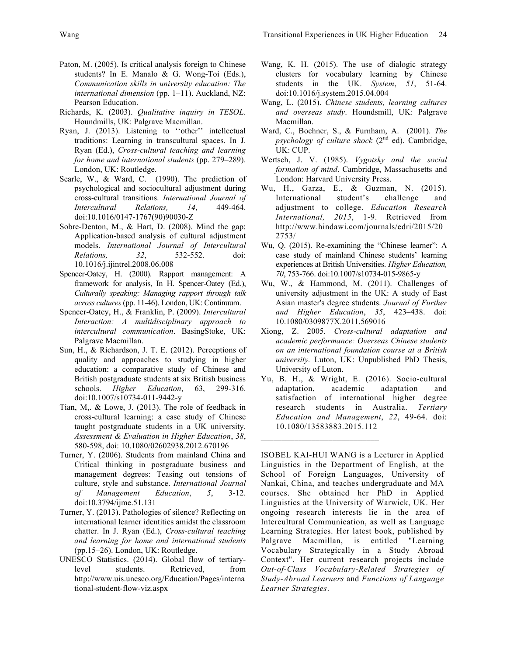- Paton, M. (2005). Is critical analysis foreign to Chinese students? In E. Manalo & G. Wong-Toi (Eds.), *Communication skills in university education: The international dimension* (pp. 1–11). Auckland, NZ: Pearson Education.
- Richards, K. (2003). *Qualitative inquiry in TESOL*. Houndmills, UK: Palgrave Macmillan.
- Ryan, J. (2013). Listening to ''other'' intellectual traditions: Learning in transcultural spaces. In J. Ryan (Ed.), *Cross-cultural teaching and learning for home and international students* (pp. 279–289). London, UK: Routledge.
- Searle, W., & Ward, C. (1990). The prediction of psychological and sociocultural adjustment during cross-cultural transitions. *International Journal of Intercultural Relations, 14*, 449-464. doi:10.1016/0147-1767(90)90030-Z
- Sobre-Denton, M., & Hart, D. (2008). Mind the gap: Application-based analysis of cultural adjustment models. *International Journal of Intercultural Relations, 32*, 532-552. doi: 10.1016/j.ijintrel.2008.06.008
- Spencer-Oatey, H. (2000). Rapport management: A framework for analysis, In H. Spencer-Oatey (Ed.), *Culturally speaking: Managing rapport through talk across cultures* (pp. 11-46). London, UK: Continuum.
- Spencer-Oatey, H., & Franklin, P. (2009). *Intercultural Interaction: A multidisciplinary approach to intercultural communication*. BasingStoke, UK: Palgrave Macmillan.
- Sun, H., & Richardson, J. T. E. (2012). Perceptions of quality and approaches to studying in higher education: a comparative study of Chinese and British postgraduate students at six British business schools. *Higher Education*, 63, 299-316. doi:10.1007/s10734-011-9442-y
- Tian, M,. & Lowe, J. (2013). The role of feedback in cross-cultural learning: a case study of Chinese taught postgraduate students in a UK university. *Assessment & Evaluation in Higher Education*, *38*, 580-598, doi: 10.1080/02602938.2012.670196
- Turner, Y. (2006). Students from mainland China and Critical thinking in postgraduate business and management degrees: Teasing out tensions of culture, style and substance. *International Journal of Management Education*, *5*, 3-12. doi:10.3794/ijme.51.131
- Turner, Y. (2013). Pathologies of silence? Reflecting on international learner identities amidst the classroom chatter. In J. Ryan (Ed.), *Cross-cultural teaching and learning for home and international students* (pp.15–26). London, UK: Routledge.
- UNESCO Statistics. (2014). Global flow of tertiarylevel students. Retrieved, from http://www.uis.unesco.org/Education/Pages/interna tional-student-flow-viz.aspx
- Wang, K. H. (2015). The use of dialogic strategy clusters for vocabulary learning by Chinese students in the UK. *System*, *51*, 51-64. doi:10.1016/j.system.2015.04.004
- Wang, L. (2015). *Chinese students, learning cultures and overseas study*. Houndsmill, UK: Palgrave Macmillan.
- Ward, C., Bochner, S., & Furnham, A. (2001). *The psychology of culture shock*  $(2^{nd}$  ed). Cambridge, UK: CUP.
- Wertsch, J. V. (1985). *Vygotsky and the social formation of mind*. Cambridge, Massachusetts and London: Harvard University Press.
- Wu, H., Garza, E., & Guzman, N. (2015). International student's challenge and adjustment to college. *Education Research International, 2015*, 1-9. Retrieved from http://www.hindawi.com/journals/edri/2015/20 2753/
- Wu, Q. (2015). Re-examining the "Chinese learner": A case study of mainland Chinese students' learning experiences at British Universities. *Higher Education, 70*, 753-766. doi:10.1007/s10734-015-9865-y
- Wu, W., & Hammond, M. (2011). Challenges of university adjustment in the UK: A study of East Asian master's degree students. *Journal of Further and Higher Education*, *35*, 423–438. doi: 10.1080/0309877X.2011.569016
- Xiong, Z. 2005. *Cross-cultural adaptation and academic performance: Overseas Chinese students on an international foundation course at a British university.* Luton, UK: Unpublished PhD Thesis, University of Luton.
- Yu, B. H., & Wright, E. (2016). Socio-cultural adaptation, academic adaptation and satisfaction of international higher degree research students in Australia. *Tertiary Education and Management*, *22*, 49-64. doi: 10.1080/13583883.2015.112

 $\mathcal{L}_\text{max}$  , where  $\mathcal{L}_\text{max}$  and  $\mathcal{L}_\text{max}$ 

ISOBEL KAI-HUI WANG is a Lecturer in Applied Linguistics in the Department of English, at the School of Foreign Languages, University of Nankai, China, and teaches undergraduate and MA courses. She obtained her PhD in Applied Linguistics at the University of Warwick, UK. Her ongoing research interests lie in the area of Intercultural Communication, as well as Language Learning Strategies. Her latest book, published by Palgrave Macmillan, is entitled "Learning Vocabulary Strategically in a Study Abroad Context". Her current research projects include *Out-of-Class Vocabulary-Related Strategies of Study-Abroad Learners* and *Functions of Language Learner Strategies*.